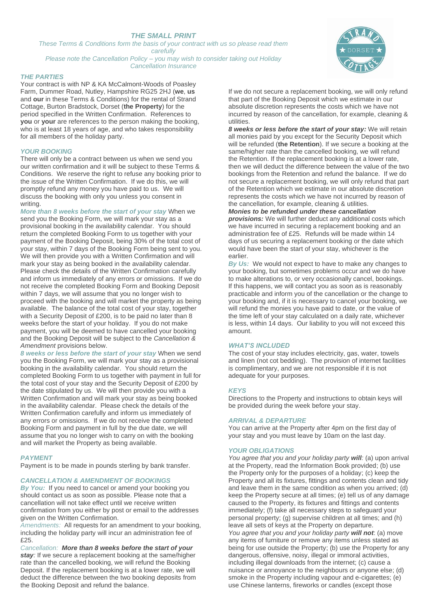# *THE SMALL PRINT*

*These Terms & Conditions form the basis of your contract with us so please read them* 

*carefully* 

*Please note the Cancellation Policy – you may wish to consider taking out Holiday Cancellation Insurance*

### *THE PARTIES*

Your contract is with NP & KA McCalmont-Woods of Poasley Farm, Dummer Road, Nutley, Hampshire RG25 2HJ (**we**, **us** and **our** in these Terms & Conditions) for the rental of Strand Cottage, Burton Bradstock, Dorset (**the Property**) for the period specified in the Written Confirmation. References to **you** or **your** are references to the person making the booking, who is at least 18 years of age, and who takes responsibility for all members of the holiday party.

### *YOUR BOOKING*

There will only be a contract between us when we send you our written confirmation and it will be subject to these Terms & Conditions. We reserve the right to refuse any booking prior to the issue of the Written Confirmation. If we do this, we will promptly refund any money you have paid to us. We will discuss the booking with only you unless you consent in writing.

*More than 8 weeks before the start of your stay* When we send you the Booking Form, we will mark your stay as a provisional booking in the availability calendar. You should return the completed Booking Form to us together with your payment of the Booking Deposit, being 30% of the total cost of your stay, within 7 days of the Booking Form being sent to you. We will then provide you with a Written Confirmation and will mark your stay as being booked in the availability calendar. Please check the details of the Written Confirmation carefully and inform us immediately of any errors or omissions. If we do not receive the completed Booking Form and Booking Deposit within 7 days, we will assume that you no longer wish to proceed with the booking and will market the property as being available.The balance of the total cost of your stay, together with a Security Deposit of £200, is to be paid no later than 8 weeks before the start of your holiday. If you do not make payment, you will be deemed to have cancelled your booking and the Booking Deposit will be subject to the *Cancellation & Amendment* provisions below.

*8 weeks or less before the start of your stay* When we send you the Booking Form, we will mark your stay as a provisional booking in the availability calendar. You should return the completed Booking Form to us together with payment in full for the total cost of your stay and the Security Deposit of £200 by the date stipulated by us. We will then provide you with a Written Confirmation and will mark your stay as being booked in the availability calendar. Please check the details of the Written Confirmation carefully and inform us immediately of any errors or omissions. If we do not receive the completed Booking Form and payment in full by the due date, we will assume that you no longer wish to carry on with the booking and will market the Property as being available.

#### *PAYMENT*

Payment is to be made in pounds sterling by bank transfer.

## *CANCELLATION & AMENDMENT OF BOOKINGS*

*By You:* If you need to cancel or amend your booking you should contact us as soon as possible. Please note that a cancellation will not take effect until we receive written confirmation from you either by post or email to the addresses given on the Written Confirmation.

*Amendments:* All requests for an amendment to your booking, including the holiday party will incur an administration fee of £25.

*Cancellation: More than 8 weeks before the start of your*  **stay**: If we secure a replacement booking at the same/higher rate than the cancelled booking, we will refund the Booking Deposit. If the replacement booking is at a lower rate, we will deduct the difference between the two booking deposits from the Booking Deposit and refund the balance.

If we do not secure a replacement booking, we will only refund that part of the Booking Deposit which we estimate in our absolute discretion represents the costs which we have not incurred by reason of the cancellation, for example, cleaning & utilities.

*8 weeks or less before the start of your stay:* We will retain all monies paid by you except for the Security Deposit which will be refunded (**the Retention**). If we secure a booking at the same/higher rate than the cancelled booking, we will refund the Retention. If the replacement booking is at a lower rate, then we will deduct the difference between the value of the two bookings from the Retention and refund the balance. If we do not secure a replacement booking, we will only refund that part of the Retention which we estimate in our absolute discretion represents the costs which we have not incurred by reason of the cancellation, for example, cleaning & utilities.

#### *Monies to be refunded under these cancellation provisions:* We will further deduct any additional costs which

we have incurred in securing a replacement booking and an administration fee of £25. Refunds will be made within 14 days of us securing a replacement booking or the date which would have been the start of your stay, whichever is the earlier.

*By Us:* We would not expect to have to make any changes to your booking, but sometimes problems occur and we do have to make alterations to, or very occasionally cancel, bookings. If this happens, we will contact you as soon as is reasonably practicable and inform you of the cancellation or the change to your booking and, if it is necessary to cancel your booking, we will refund the monies you have paid to date, or the value of the time left of your stay calculated on a daily rate, whichever is less, within 14 days. Our liability to you will not exceed this amount.

## *WHAT'S INCLUDED*

The cost of your stay includes electricity, gas, water, towels and linen (not cot bedding). The provision of internet facilities is complimentary, and we are not responsible if it is not adequate for your purposes.

## *KEYS*

Directions to the Property and instructions to obtain keys will be provided during the week before your stay.

#### *ARRIVAL & DEPARTURE*

You can arrive at the Property after 4pm on the first day of your stay and you must leave by 10am on the last day.

## *YOUR OBLIGATIONS*

*You agree that you and your holiday party will:* (a) upon arrival at the Property, read the Information Book provided; (b) use the Property only for the purposes of a holiday; (c) keep the Property and all its fixtures, fittings and contents clean and tidy and leave them in the same condition as when you arrived; (d) keep the Property secure at all times; (e) tell us of any damage caused to the Property, its fixtures and fittings and contents immediately; (f) take all necessary steps to safeguard your personal property; (g) supervise children at all times; and (h) leave all sets of keys at the Property on departure. *You agree that you and your holiday party will not*: (a) move any items of furniture or remove any items unless stated as being for use outside the Property; (b) use the Property for any dangerous, offensive, noisy, illegal or immoral activities, including illegal downloads from the internet; (c) cause a nuisance or annoyance to the neighbours or anyone else; (d) smoke in the Property including vapour and e-cigarettes; (e) use Chinese lanterns, fireworks or candles (except those